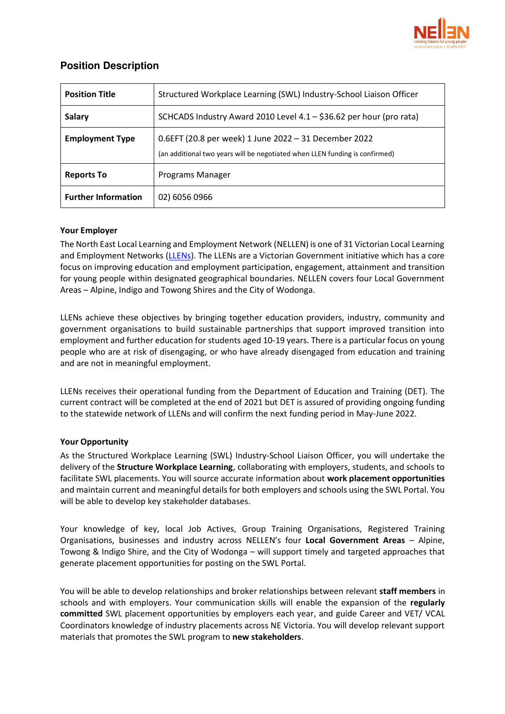

# **Position Description**

| <b>Position Title</b>      | Structured Workplace Learning (SWL) Industry-School Liaison Officer                                                                  |
|----------------------------|--------------------------------------------------------------------------------------------------------------------------------------|
| <b>Salary</b>              | SCHCADS Industry Award 2010 Level 4.1 - \$36.62 per hour (pro rata)                                                                  |
| <b>Employment Type</b>     | 0.6EFT (20.8 per week) 1 June 2022 - 31 December 2022<br>(an additional two years will be negotiated when LLEN funding is confirmed) |
| <b>Reports To</b>          | Programs Manager                                                                                                                     |
| <b>Further Information</b> | 02) 6056 0966                                                                                                                        |

# **Your Employer**

The North East Local Learning and Employment Network (NELLEN) is one of 31 Victorian Local Learning and Employment Networks [\(LLENs\)](http://www.llen.vic.gov.au/). The LLENs are a Victorian Government initiative which has a core focus on improving education and employment participation, engagement, attainment and transition for young people within designated geographical boundaries. NELLEN covers four Local Government Areas – Alpine, Indigo and Towong Shires and the City of Wodonga.

LLENs achieve these objectives by bringing together education providers, industry, community and government organisations to build sustainable partnerships that support improved transition into employment and further education for students aged 10-19 years. There is a particular focus on young people who are at risk of disengaging, or who have already disengaged from education and training and are not in meaningful employment.

LLENs receives their operational funding from the Department of Education and Training (DET). The current contract will be completed at the end of 2021 but DET is assured of providing ongoing funding to the statewide network of LLENs and will confirm the next funding period in May-June 2022.

#### **Your Opportunity**

As the Structured Workplace Learning (SWL) Industry-School Liaison Officer, you will undertake the delivery of the **Structure Workplace Learning**, collaborating with employers, students, and schools to facilitate SWL placements. You will source accurate information about **work placement opportunities** and maintain current and meaningful details for both employers and schools using the SWL Portal. You will be able to develop key stakeholder databases.

Your knowledge of key, local Job Actives, Group Training Organisations, Registered Training Organisations, businesses and industry across NELLEN's four **Local Government Areas** – Alpine, Towong & Indigo Shire, and the City of Wodonga – will support timely and targeted approaches that generate placement opportunities for posting on the SWL Portal.

You will be able to develop relationships and broker relationships between relevant **staff members** in schools and with employers. Your communication skills will enable the expansion of the **regularly committed** SWL placement opportunities by employers each year, and guide Career and VET/ VCAL Coordinators knowledge of industry placements across NE Victoria. You will develop relevant support materials that promotes the SWL program to **new stakeholders**.